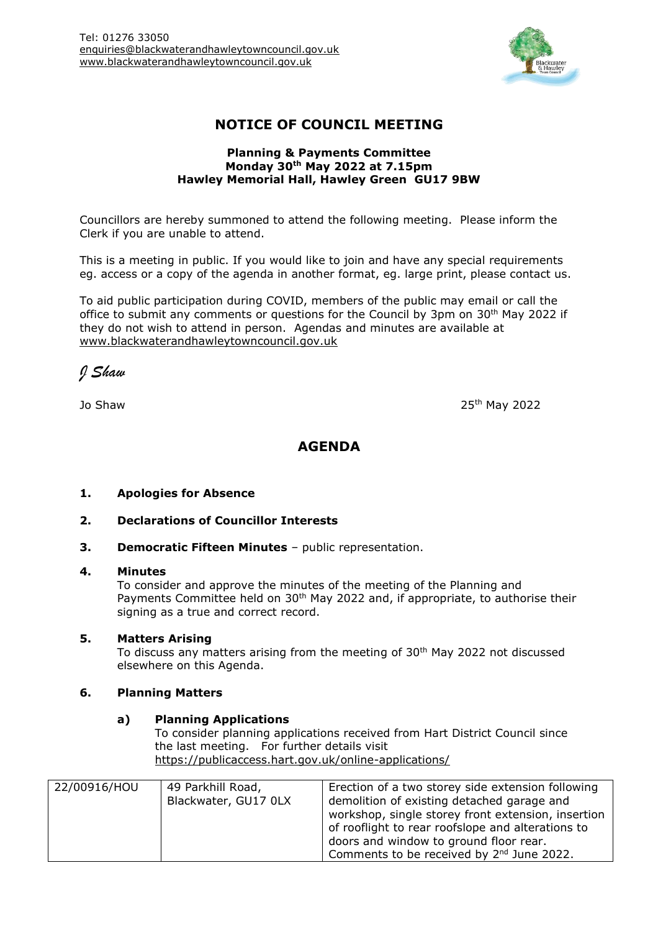

# **NOTICE OF COUNCIL MEETING**

### **Planning & Payments Committee Monday 30th May 2022 at 7.15pm Hawley Memorial Hall, Hawley Green GU17 9BW**

Councillors are hereby summoned to attend the following meeting. Please inform the Clerk if you are unable to attend.

This is a meeting in public. If you would like to join and have any special requirements eg. access or a copy of the agenda in another format, eg. large print, please contact us.

To aid public participation during COVID, members of the public may email or call the office to submit any comments or questions for the Council by 3pm on 30<sup>th</sup> May 2022 if they do not wish to attend in person. Agendas and minutes are available at [www.blackwaterandhawleytowncouncil.gov.uk](http://www.blackwaterandhawleytowncouncil.gov.uk/)

*J Shaw*

Jo Shaw 25

25<sup>th</sup> May 2022

## **AGENDA**

## **1. Apologies for Absence**

- **2. Declarations of Councillor Interests**
- **3. Democratic Fifteen Minutes** public representation.

#### **4. Minutes**

To consider and approve the minutes of the meeting of the Planning and Payments Committee held on 30<sup>th</sup> May 2022 and, if appropriate, to authorise their signing as a true and correct record.

### **5. Matters Arising**

To discuss any matters arising from the meeting of 30<sup>th</sup> May 2022 not discussed elsewhere on this Agenda.

#### **6. Planning Matters**

#### **a) Planning Applications**

To consider planning applications received from Hart District Council since the last meeting. For further details visit <https://publicaccess.hart.gov.uk/online-applications/>

| 22/00916/HOU | 49 Parkhill Road,<br>Blackwater, GU17 0LX | Erection of a two storey side extension following<br>demolition of existing detached garage and<br>workshop, single storey front extension, insertion<br>of rooflight to rear roofslope and alterations to<br>doors and window to ground floor rear.<br>Comments to be received by 2 <sup>nd</sup> June 2022. |
|--------------|-------------------------------------------|---------------------------------------------------------------------------------------------------------------------------------------------------------------------------------------------------------------------------------------------------------------------------------------------------------------|
|--------------|-------------------------------------------|---------------------------------------------------------------------------------------------------------------------------------------------------------------------------------------------------------------------------------------------------------------------------------------------------------------|